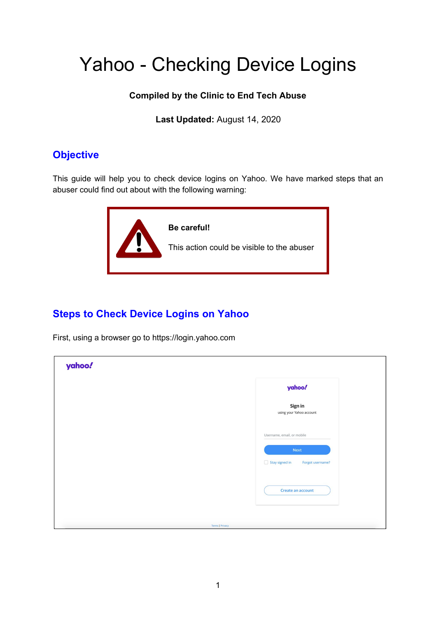## Yahoo - Checking Device Logins

## **Compiled by the Clinic to End Tech Abuse**

**Last Updated:** August 14, 2020

## **Objective**

This guide will help you to check device logins on Yahoo. We have marked steps that an abuser could find out about with the following warning:



## **Steps to Check Device Logins on Yahoo**

First, using a browser go to https://login.yahoo.com

| yahoo! |                                                                                 |
|--------|---------------------------------------------------------------------------------|
|        | yahoo!                                                                          |
|        | Sign in<br>using your Yahoo account                                             |
|        | Username, email, or mobile<br>Next<br>$\Box$ Stay signed in<br>Forgot username? |
|        | Create an account                                                               |
|        | <b>Terms   Privacy</b>                                                          |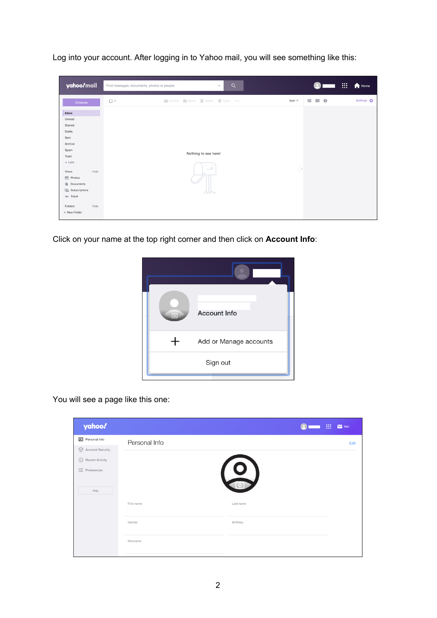Log into your account. After logging in to Yahoo mail, you will see something like this:

| yahoo/mail                            | Find messages, documents, photos or people<br>$\checkmark$             | Q             | !!!                           | Home                   |
|---------------------------------------|------------------------------------------------------------------------|---------------|-------------------------------|------------------------|
| Compose                               | Archive <b>21</b> Move <b>in</b> Delete <b>Q</b> Spam<br>$\Box$ $\sim$ | Sort $\vee$   | $\odot$<br>$\mathbf{R}$<br>12 | Settings $\frac{1}{2}$ |
| Inbox                                 |                                                                        |               |                               |                        |
| Unread<br>Starred                     |                                                                        |               |                               |                        |
| Drafts                                |                                                                        |               |                               |                        |
| Sent                                  |                                                                        |               |                               |                        |
| Archive                               |                                                                        |               |                               |                        |
| Spam                                  | Nothing to see here!                                                   |               |                               |                        |
| Trash                                 |                                                                        |               |                               |                        |
| $\sim$ Less                           |                                                                        |               |                               |                        |
| Hide<br>Views                         | $\sim$                                                                 | $\rightarrow$ |                               |                        |
| $\sqrt{2}$ Photos                     |                                                                        |               |                               |                        |
| Documents                             |                                                                        |               |                               |                        |
| $\overline{\mathbf{i}}$ Subscriptions |                                                                        |               |                               |                        |
| $\Rightarrow$ Travel                  |                                                                        |               |                               |                        |
| Hide<br>Folders                       |                                                                        |               |                               |                        |
| + New Folder                          |                                                                        |               |                               |                        |
|                                       |                                                                        |               |                               |                        |

Click on your name at the top right corner and then click on **Account Info**:



You will see a page like this one:

|               | 88        | $\sim$ Mail |
|---------------|-----------|-------------|
| Personal Info |           | Edit        |
|               |           |             |
|               |           |             |
|               |           |             |
|               |           |             |
|               |           |             |
| First name    | Last name |             |
|               |           |             |
| Gender        | Birthday  |             |
|               |           |             |
| Nickname      |           |             |
|               |           |             |
|               |           | $\circ$     |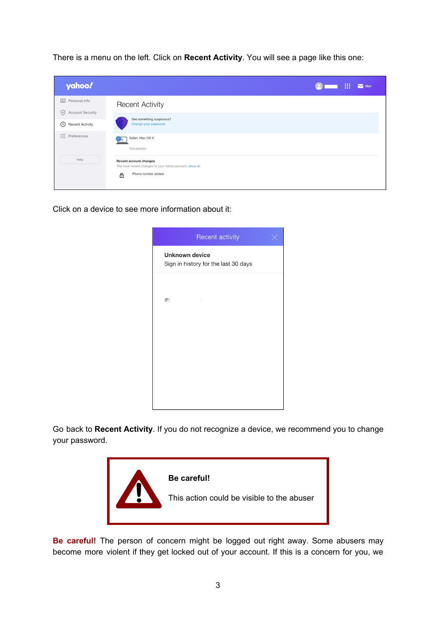There is a menu on the left. Click on **Recent Activity**. You will see a page like this one:

| yahoo!                                       | ₩<br>$\blacksquare$ Mail                                                                                     |
|----------------------------------------------|--------------------------------------------------------------------------------------------------------------|
| 2:<br>Personal Info<br>Account Security<br>V | <b>Recent Activity</b>                                                                                       |
| ⊙<br><b>Recent Activity</b>                  | See something suspicious?<br>Change your password                                                            |
| $\equiv$ Preferences                         | Safari, Mac OS X<br>this session                                                                             |
| Help                                         | Recent account changes<br>The most recent changes to your Yahoo account. show all<br>Phone number added<br>⊕ |

Click on a device to see more information about it:

| Recent activity                                               |  |
|---------------------------------------------------------------|--|
| <b>Unknown device</b><br>Sign in history for the last 30 days |  |
|                                                               |  |
| IP:                                                           |  |
|                                                               |  |
|                                                               |  |
|                                                               |  |
|                                                               |  |
|                                                               |  |

Go back to **Recent Activity**. If you do not recognize a device, we recommend you to change your password.



**Be careful!** The person of concern might be logged out right away. Some abusers may become more violent if they get locked out of your account. If this is a concern for you, we